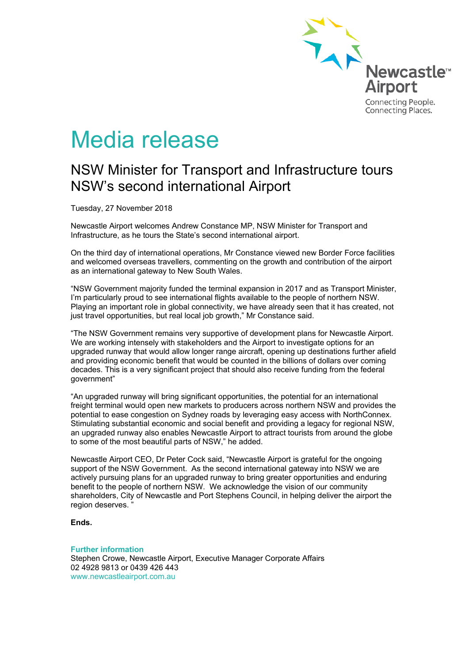

# Media release

## NSW Minister for Transport and Infrastructure tours NSW's second international Airport

Tuesday, 27 November 2018

Newcastle Airport welcomes Andrew Constance MP, NSW Minister for Transport and Infrastructure, as he tours the State's second international airport.

On the third day of international operations, Mr Constance viewed new Border Force facilities and welcomed overseas travellers, commenting on the growth and contribution of the airport as an international gateway to New South Wales.

"NSW Government majority funded the terminal expansion in 2017 and as Transport Minister, I'm particularly proud to see international flights available to the people of northern NSW. Playing an important role in global connectivity, we have already seen that it has created, not just travel opportunities, but real local job growth," Mr Constance said.

"The NSW Government remains very supportive of development plans for Newcastle Airport. We are working intensely with stakeholders and the Airport to investigate options for an upgraded runway that would allow longer range aircraft, opening up destinations further afield and providing economic benefit that would be counted in the billions of dollars over coming decades. This is a very significant project that should also receive funding from the federal government"

"An upgraded runway will bring significant opportunities, the potential for an international freight terminal would open new markets to producers across northern NSW and provides the potential to ease congestion on Sydney roads by leveraging easy access with NorthConnex. Stimulating substantial economic and social benefit and providing a legacy for regional NSW, an upgraded runway also enables Newcastle Airport to attract tourists from around the globe to some of the most beautiful parts of NSW," he added.

Newcastle Airport CEO, Dr Peter Cock said, "Newcastle Airport is grateful for the ongoing support of the NSW Government. As the second international gateway into NSW we are actively pursuing plans for an upgraded runway to bring greater opportunities and enduring benefit to the people of northern NSW. We acknowledge the vision of our community shareholders, City of Newcastle and Port Stephens Council, in helping deliver the airport the region deserves. "

**Ends.**

#### **Further information**

Stephen Crowe, Newcastle Airport, Executive Manager Corporate Affairs 02 4928 9813 or 0439 426 443 www.newcastleairport.com.au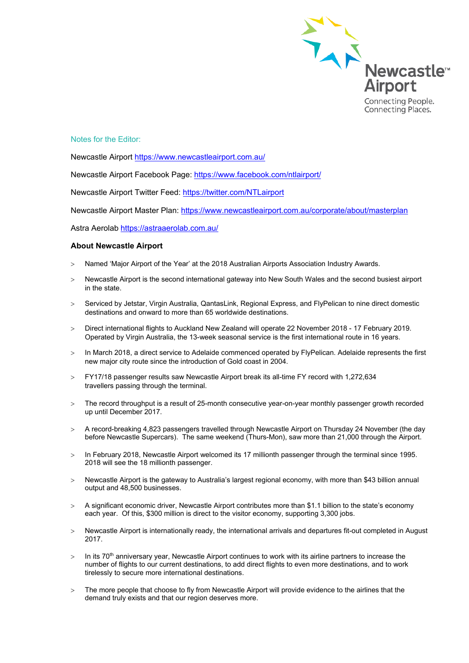

### Notes for the Editor:

Newcastle Airport<https://www.newcastleairport.com.au/>

Newcastle Airport Facebook Page: <https://www.facebook.com/ntlairport/>

Newcastle Airport Twitter Feed:<https://twitter.com/NTLairport>

Newcastle Airport Master Plan:<https://www.newcastleairport.com.au/corporate/about/masterplan>

Astra Aerolab<https://astraaerolab.com.au/>

#### **About Newcastle Airport**

- > Named 'Major Airport of the Year' at the 2018 Australian Airports Association Industry Awards.
- > Newcastle Airport is the second international gateway into New South Wales and the second busiest airport in the state.
- > Serviced by Jetstar, Virgin Australia, QantasLink, Regional Express, and FlyPelican to nine direct domestic destinations and onward to more than 65 worldwide destinations.
- > Direct international flights to Auckland New Zealand will operate 22 November 2018 17 February 2019. Operated by Virgin Australia, the 13-week seasonal service is the first international route in 16 years.
- > In March 2018, a direct service to Adelaide commenced operated by FlyPelican. Adelaide represents the first new major city route since the introduction of Gold coast in 2004.
- > FY17/18 passenger results saw Newcastle Airport break its all-time FY record with 1,272,634 travellers passing through the terminal.
- > The record throughput is a result of 25-month consecutive year-on-year monthly passenger growth recorded up until December 2017.
- > A record-breaking 4,823 passengers travelled through Newcastle Airport on Thursday 24 November (the day before Newcastle Supercars). The same weekend (Thurs-Mon), saw more than 21,000 through the Airport.
- > In February 2018, Newcastle Airport welcomed its 17 millionth passenger through the terminal since 1995. 2018 will see the 18 millionth passenger.
- > Newcastle Airport is the gateway to Australia's largest regional economy, with more than \$43 billion annual output and 48,500 businesses.
- > A significant economic driver, Newcastle Airport contributes more than \$1.1 billion to the state's economy each year. Of this, \$300 million is direct to the visitor economy, supporting 3,300 jobs.
- > Newcastle Airport is internationally ready, the international arrivals and departures fit-out completed in August 2017.
- $>$  In its 70<sup>th</sup> anniversary year, Newcastle Airport continues to work with its airline partners to increase the number of flights to our current destinations, to add direct flights to even more destinations, and to work tirelessly to secure more international destinations.
- > The more people that choose to fly from Newcastle Airport will provide evidence to the airlines that the demand truly exists and that our region deserves more.